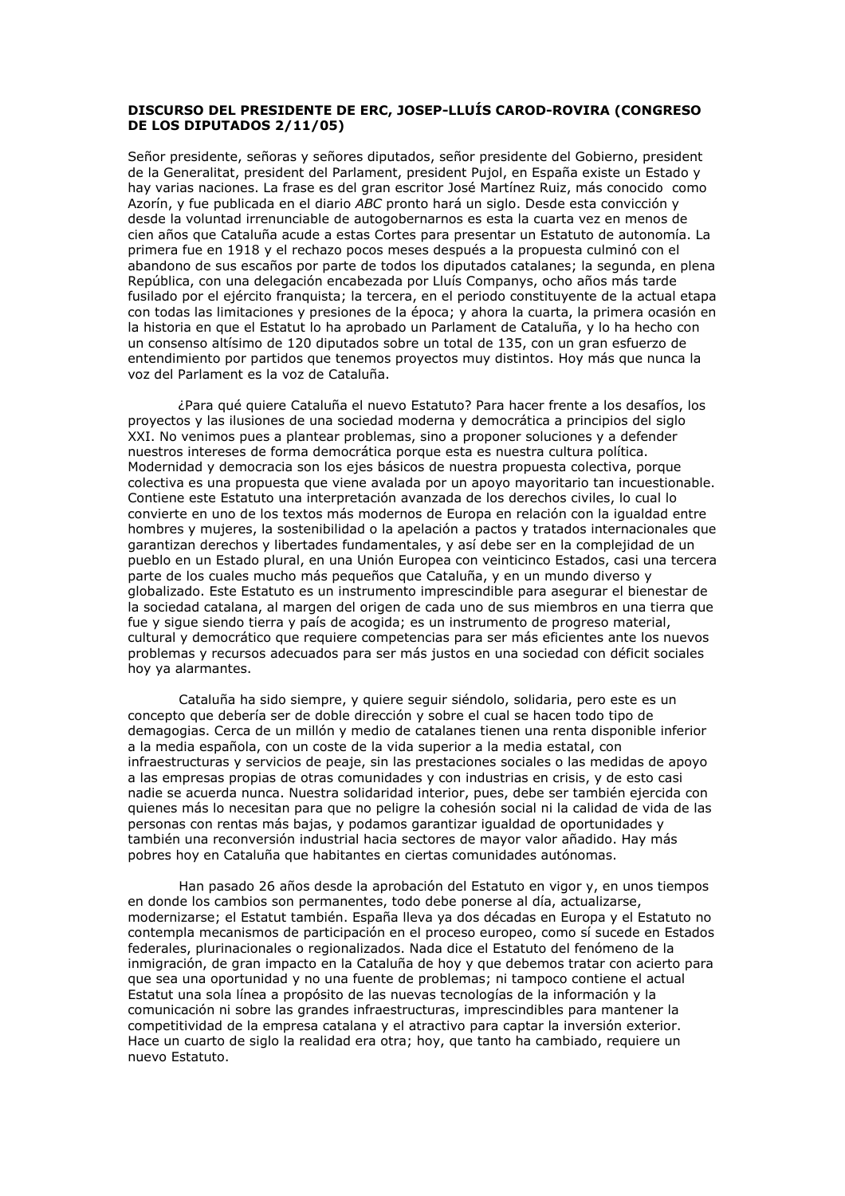## DISCURSO DEL PRESIDENTE DE ERC, JOSEP-LLUÍS CAROD-ROVIRA (CONGRESO DE LOS DIPUTADOS 2/11/05)

Señor presidente, señoras y señores diputados, señor presidente del Gobierno, president de la Generalitat, president del Parlament, president Pujol, en España existe un Estado y hav varias naciones. La frase es del gran escritor José Martínez Ruiz, más conocido como Azorín, y fue publicada en el diario ABC pronto hará un siglo. Desde esta convicción y desde la voluntad irrenunciable de autogobernarnos es esta la cuarta vez en menos de cien años que Cataluña acude a estas Cortes para presentar un Estatuto de autonomía. La primera fue en 1918 y el rechazo pocos meses después a la propuesta culminó con el abandono de sus escaños por parte de todos los diputados catalanes; la segunda, en plena República, con una delegación encabezada por Lluís Companys, ocho años más tarde fusilado por el ejército franquista; la tercera, en el periodo constituyente de la actual etapa con todas las limitaciones y presiones de la época; y ahora la cuarta, la primera ocasión en la historia en que el Estatut lo ha aprobado un Parlament de Cataluña, y lo ha hecho con un consenso altísimo de 120 diputados sobre un total de 135, con un gran esfuerzo de entendimiento por partidos que tenemos proyectos muy distintos. Hoy más que nunca la voz del Parlament es la voz de Cataluña.

¿Para qué quiere Cataluña el nuevo Estatuto? Para hacer frente a los desafíos, los proyectos y las ilusiones de una sociedad moderna y democrática a principios del siglo XXI. No venimos pues a plantear problemas, sino a proponer soluciones y a defender nuestros intereses de forma democrática porque esta es nuestra cultura política. Modernidad y democracia son los ejes básicos de nuestra propuesta colectiva, porque colectiva es una propuesta que viene avalada por un apovo mavoritario tan incuestionable. Contiene este Estatuto una interpretación avanzada de los derechos civiles, lo cual lo convierte en uno de los textos más modernos de Europa en relación con la igualdad entre hombres y mujeres, la sostenibilidad o la apelación a pactos y tratados internacionales que garantizan derechos y libertades fundamentales, y así debe ser en la complejidad de un pueblo en un Estado plural, en una Unión Europea con veinticinco Estados, casi una tercera parte de los cuales mucho más pequeños que Cataluña, y en un mundo diverso y globalizado. Este Estatuto es un instrumento imprescindible para asegurar el bienestar de la sociedad catalana, al margen del origen de cada uno de sus miembros en una tierra que fue y sigue siendo tierra y país de acogida: es un instrumento de progreso material. cultural y democrático que requiere competencias para ser más eficientes ante los nuevos problemas y recursos adecuados para ser más justos en una sociedad con déficit sociales hoy ya alarmantes.

Cataluña ha sido siempre, y quiere seguir siéndolo, solidaria, pero este es un concepto que debería ser de doble dirección y sobre el cual se hacen todo tipo de demagogias. Cerca de un millón y medio de catalanes tienen una renta disponible inferior a la media española, con un coste de la vida superior a la media estatal, con infraestructuras y servicios de peaje, sin las prestaciones sociales o las medidas de apoyo a las empresas propias de otras comunidades y con industrias en crisis, y de esto casi nadie se acuerda nunca. Nuestra solidaridad interior, pues, debe ser también ejercida con quienes más lo necesitan para que no peligre la cohesión social ni la calidad de vida de las personas con rentas más bajas, y podamos garantizar igualdad de oportunidades y también una reconversión industrial hacia sectores de mayor valor añadido. Hay más pobres hoy en Cataluña que habitantes en ciertas comunidades autónomas.

Han pasado 26 años desde la aprobación del Estatuto en vigor y, en unos tiempos en donde los cambios son permanentes, todo debe ponerse al día, actualizarse, modernizarse; el Estatut también. España lleva ya dos décadas en Europa y el Estatuto no contempla mecanismos de participación en el proceso europeo, como sí sucede en Estados federales, plurinacionales o regionalizados. Nada dice el Estatuto del fenómeno de la inmigración, de gran impacto en la Cataluña de hoy y que debemos tratar con acierto para que sea una oportunidad y no una fuente de problemas; ni tampoco contiene el actual Estatut una sola línea a propósito de las nuevas tecnologías de la información y la comunicación ni sobre las grandes infraestructuras, imprescindibles para mantener la competitividad de la empresa catalana y el atractivo para captar la inversión exterior. Hace un cuarto de siglo la realidad era otra; hoy, que tanto ha cambiado, reguiere un nuevo Estatuto.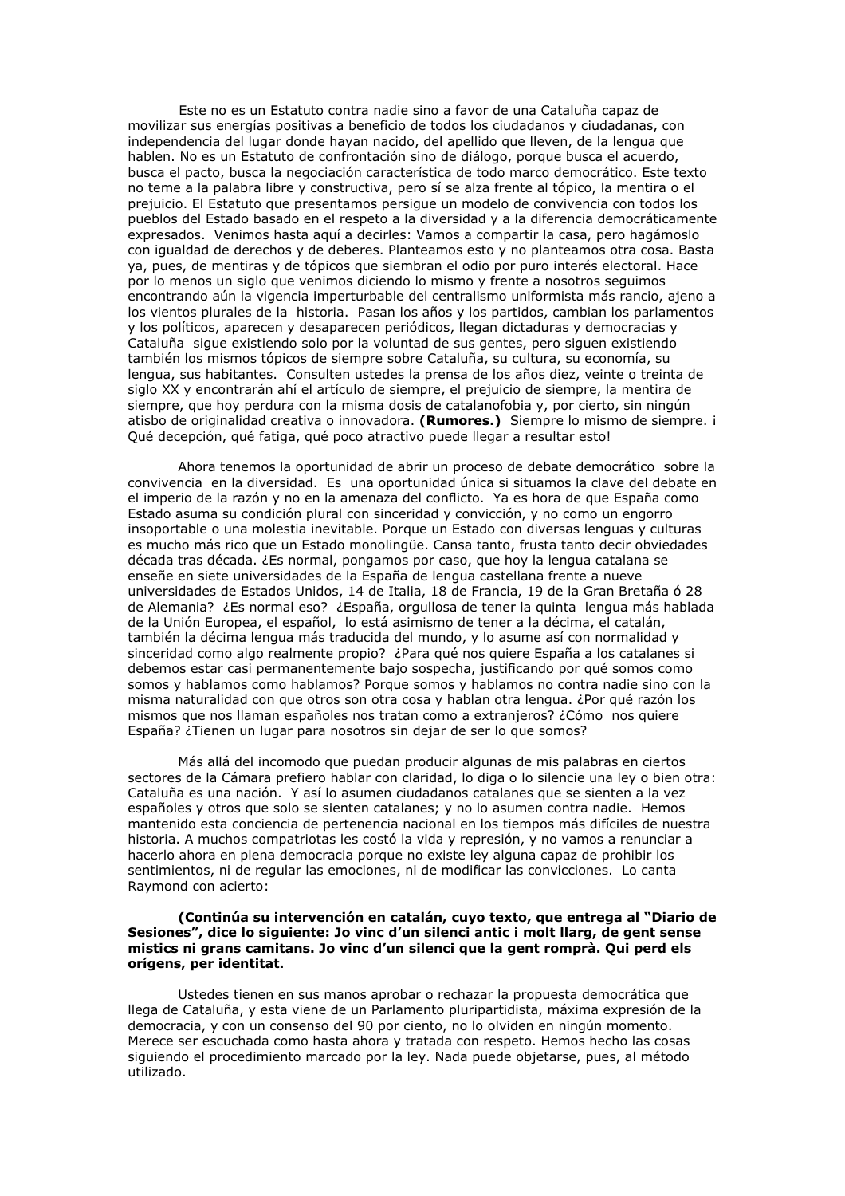Este no es un Estatuto contra nadie sino a favor de una Cataluña capaz de movilizar sus energías positivas a beneficio de todos los ciudadanos y ciudadanas, con independencia del lugar donde hayan nacido, del apellido que lleven, de la lengua que hablen. No es un Estatuto de confrontación sino de diálogo, porque busca el acuerdo, busca el pacto, busca la negociación característica de todo marco democrático. Este texto no teme a la palabra libre y constructiva, pero sí se alza frente al tópico, la mentira o el prejuicio. El Estatuto que presentamos persique un modelo de convivencia con todos los pueblos del Estado basado en el respeto a la diversidad y a la diferencia democráticamente expresados. Venimos hasta aguí a decirles: Vamos a compartir la casa, pero hagámoslo con iqualdad de derechos y de deberes. Planteamos esto y no planteamos otra cosa. Basta ya, pues, de mentiras y de tópicos que siembran el odio por puro interés electoral. Hace por lo menos un siglo que venimos diciendo lo mismo y frente a nosotros seguimos encontrando aún la vigencia imperturbable del centralismo uniformista más rancio, ajeno a los vientos plurales de la historia. Pasan los años y los partidos, cambian los parlamentos y los políticos, aparecen y desaparecen periódicos, llegan dictaduras y democracias y Cataluña sique existiendo solo por la voluntad de sus gentes, pero siguen existiendo también los mismos tópicos de siempre sobre Cataluña, su cultura, su economía, su lengua, sus habitantes. Consulten ustedes la prensa de los años diez, veinte o treinta de siglo XX y encontrarán ahí el artículo de siempre, el prejuicio de siempre, la mentira de siempre, que hoy perdura con la misma dosis de catalanofobia y, por cierto, sin ningún atisbo de originalidad creativa o innovadora. (Rumores.) Siempre lo mismo de siempre. i Qué decepción, qué fatiga, qué poco atractivo puede llegar a resultar esto!

Ahora tenemos la oportunidad de abrir un proceso de debate democrático sobre la convivencia en la diversidad. Es una oportunidad única si situamos la clave del debate en el imperio de la razón y no en la amenaza del conflicto. Ya es hora de que España como Estado asuma su condición plural con sinceridad y convicción, y no como un engorro insoportable o una molestia inevitable. Porque un Estado con diversas lenguas y culturas es mucho más rico que un Estado monolingüe. Cansa tanto, frusta tanto decir obviedades década tras década. ¿Es normal, pongamos por caso, que hoy la lengua catalana se enseñe en siete universidades de la España de lengua castellana frente a nueve universidades de Estados Unidos, 14 de Italia, 18 de Francia, 19 de la Gran Bretaña ó 28 de Alemania? ¿Es normal eso? ¿España, orgullosa de tener la quinta lengua más hablada de la Unión Europea, el español, lo está asimismo de tener a la décima, el catalán, también la décima lengua más traducida del mundo, y lo asume así con normalidad y sinceridad como algo realmente propio? ¿Para qué nos quiere España a los catalanes si debemos estar casi permanentemente bajo sospecha, justificando por qué somos como somos y hablamos como hablamos? Porque somos y hablamos no contra nadie sino con la misma naturalidad con que otros son otra cosa y hablan otra lengua. ¿Por qué razón los mismos que nos llaman españoles nos tratan como a extranjeros? ¿Cómo nos quiere España? ¿Tienen un lugar para nosotros sin dejar de ser lo que somos?

Más allá del incomodo que puedan producir algunas de mis palabras en ciertos sectores de la Cámara prefiero hablar con claridad, lo diga o lo silencie una ley o bien otra: Cataluña es una nación. Y así lo asumen ciudadanos catalanes que se sienten a la vez españoles y otros que solo se sienten catalanes; y no lo asumen contra nadie. Hemos mantenido esta conciencia de pertenencia nacional en los tiempos más difíciles de nuestra historia. A muchos compatriotas les costó la vida y represión, y no vamos a renunciar a hacerlo ahora en plena democracia porque no existe ley alguna capaz de prohibir los sentimientos, ni de regular las emociones, ni de modificar las convicciones. Lo canta Ravmond con acierto:

## (Continúa su intervención en catalán, cuyo texto, que entrega al "Diario de Sesiones", dice lo siguiente: Jo vinc d'un silenci antic i molt llarg, de gent sense mistics ni grans camitans. Jo vinc d'un silenci que la gent romprà. Qui perd els orígens, per identitat.

Ustedes tienen en sus manos aprobar o rechazar la propuesta democrática que llega de Cataluña, y esta viene de un Parlamento pluripartidista, máxima expresión de la democracia, y con un consenso del 90 por ciento, no lo olviden en ningún momento. Merece ser escuchada como hasta ahora y tratada con respeto. Hemos hecho las cosas siguiendo el procedimiento marcado por la ley. Nada puede objetarse, pues, al método utilizado.